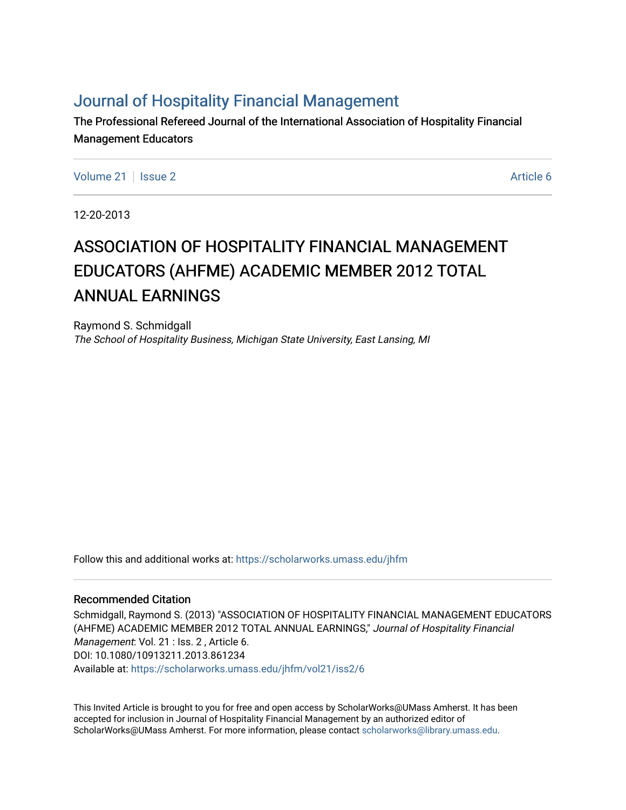# [Journal of Hospitality Financial Management](https://scholarworks.umass.edu/jhfm)

The Professional Refereed Journal of the International Association of Hospitality Financial Management Educators

[Volume 21](https://scholarworks.umass.edu/jhfm/vol21) | [Issue 2](https://scholarworks.umass.edu/jhfm/vol21/iss2) Article 6

12-20-2013

# ASSOCIATION OF HOSPITALITY FINANCIAL MANAGEMENT EDUCATORS (AHFME) ACADEMIC MEMBER 2012 TOTAL ANNUAL EARNINGS

Raymond S. Schmidgall The School of Hospitality Business, Michigan State University, East Lansing, MI

Follow this and additional works at: [https://scholarworks.umass.edu/jhfm](https://scholarworks.umass.edu/jhfm?utm_source=scholarworks.umass.edu%2Fjhfm%2Fvol21%2Fiss2%2F6&utm_medium=PDF&utm_campaign=PDFCoverPages) 

#### Recommended Citation

Schmidgall, Raymond S. (2013) "ASSOCIATION OF HOSPITALITY FINANCIAL MANAGEMENT EDUCATORS (AHFME) ACADEMIC MEMBER 2012 TOTAL ANNUAL EARNINGS," Journal of Hospitality Financial Management: Vol. 21 : Iss. 2, Article 6. DOI: 10.1080/10913211.2013.861234 Available at: [https://scholarworks.umass.edu/jhfm/vol21/iss2/6](https://scholarworks.umass.edu/jhfm/vol21/iss2/6?utm_source=scholarworks.umass.edu%2Fjhfm%2Fvol21%2Fiss2%2F6&utm_medium=PDF&utm_campaign=PDFCoverPages) 

This Invited Article is brought to you for free and open access by ScholarWorks@UMass Amherst. It has been accepted for inclusion in Journal of Hospitality Financial Management by an authorized editor of ScholarWorks@UMass Amherst. For more information, please contact [scholarworks@library.umass.edu.](mailto:scholarworks@library.umass.edu)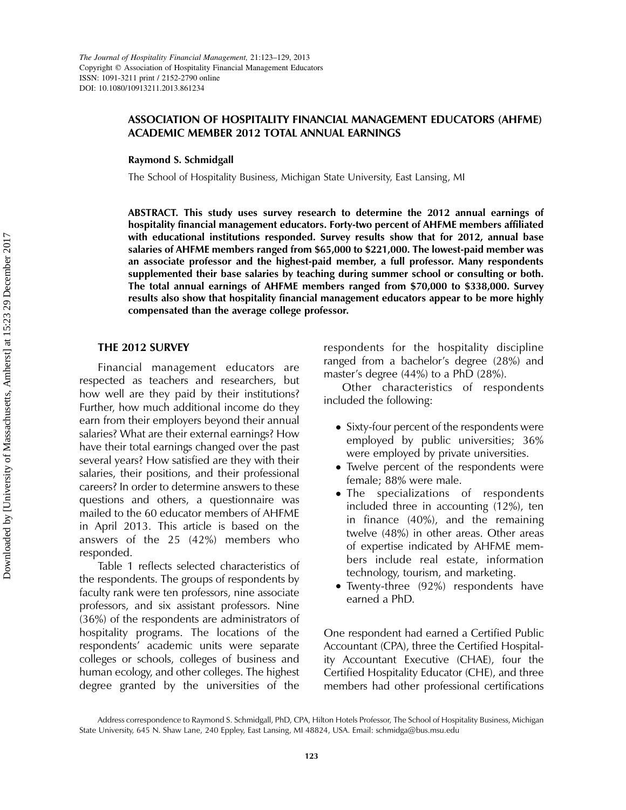### ASSOCIATION OF HOSPITALITY FINANCIAL MANAGEMENT EDUCATORS (AHFME) ACADEMIC MEMBER 2012 TOTAL ANNUAL EARNINGS

Raymond S. Schmidgall

The School of Hospitality Business, Michigan State University, East Lansing, MI

ABSTRACT. This study uses survey research to determine the 2012 annual earnings of hospitality financial management educators. Forty-two percent of AHFME members affiliated with educational institutions responded. Survey results show that for 2012, annual base salaries of AHFME members ranged from \$65,000 to \$221,000. The lowest-paid member was an associate professor and the highest-paid member, a full professor. Many respondents supplemented their base salaries by teaching during summer school or consulting or both. The total annual earnings of AHFME members ranged from \$70,000 to \$338,000. Survey results also show that hospitality financial management educators appear to be more highly compensated than the average college professor.

#### THE 2012 SURVEY

Financial management educators are respected as teachers and researchers, but how well are they paid by their institutions? Further, how much additional income do they earn from their employers beyond their annual salaries? What are their external earnings? How have their total earnings changed over the past several years? How satisfied are they with their salaries, their positions, and their professional careers? In order to determine answers to these questions and others, a questionnaire was mailed to the 60 educator members of AHFME in April 2013. This article is based on the answers of the 25 (42%) members who responded.

Table 1 reflects selected characteristics of the respondents. The groups of respondents by faculty rank were ten professors, nine associate professors, and six assistant professors. Nine (36%) of the respondents are administrators of hospitality programs. The locations of the respondents' academic units were separate colleges or schools, colleges of business and human ecology, and other colleges. The highest degree granted by the universities of the

respondents for the hospitality discipline ranged from a bachelor's degree (28%) and master's degree (44%) to a PhD (28%).

Other characteristics of respondents included the following:

- . Sixty-four percent of the respondents were employed by public universities; 36% were employed by private universities.
- . Twelve percent of the respondents were female; 88% were male.
- The specializations of respondents included three in accounting (12%), ten in finance (40%), and the remaining twelve (48%) in other areas. Other areas of expertise indicated by AHFME members include real estate, information technology, tourism, and marketing.
- . Twenty-three (92%) respondents have earned a PhD.

One respondent had earned a Certified Public Accountant (CPA), three the Certified Hospitality Accountant Executive (CHAE), four the Certified Hospitality Educator (CHE), and three members had other professional certifications

Address correspondence to Raymond S. Schmidgall, PhD, CPA, Hilton Hotels Professor, The School of Hospitality Business, Michigan State University, 645 N. Shaw Lane, 240 Eppley, East Lansing, MI 48824, USA. Email: schmidga@bus.msu.edu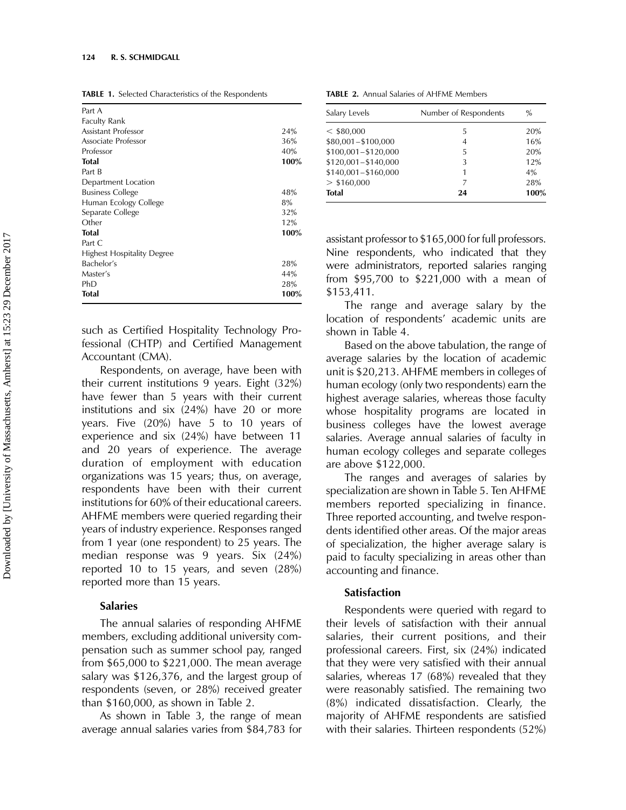| TABLE 1. Selected Characteristics of the Respondents |  |
|------------------------------------------------------|--|
|------------------------------------------------------|--|

| Part A                            |      |
|-----------------------------------|------|
| <b>Faculty Rank</b>               |      |
| Assistant Professor               | 24%  |
| Associate Professor               | 36%  |
| Professor                         | 40%  |
| Total                             | 100% |
| Part B                            |      |
| Department Location               |      |
| <b>Business College</b>           | 48%  |
| Human Ecology College             | 8%   |
| Separate College                  | 32%  |
| Other                             | 12%  |
| Total                             | 100% |
| Part C                            |      |
| <b>Highest Hospitality Degree</b> |      |
| Bachelor's                        | 28%  |
| Master's                          | 44%  |
| PhD                               | 28%  |
| Total                             | 100% |

such as Certified Hospitality Technology Professional (CHTP) and Certified Management Accountant (CMA).

Respondents, on average, have been with their current institutions 9 years. Eight (32%) have fewer than 5 years with their current institutions and six (24%) have 20 or more years. Five (20%) have 5 to 10 years of experience and six (24%) have between 11 and 20 years of experience. The average duration of employment with education organizations was 15 years; thus, on average, respondents have been with their current institutions for 60% of their educational careers. AHFME members were queried regarding their years of industry experience. Responses ranged from 1 year (one respondent) to 25 years. The median response was 9 years. Six (24%) reported 10 to 15 years, and seven (28%) reported more than 15 years.

#### Salaries

The annual salaries of responding AHFME members, excluding additional university compensation such as summer school pay, ranged from \$65,000 to \$221,000. The mean average salary was \$126,376, and the largest group of respondents (seven, or 28%) received greater than \$160,000, as shown in Table 2.

As shown in Table 3, the range of mean average annual salaries varies from \$84,783 for

TABLE 2. Annual Salaries of AHFME Members

| Salary Levels         | Number of Respondents | $\%$ |
|-----------------------|-----------------------|------|
| $<$ \$80,000          | 5                     | 20%  |
| $$80,001 - $100,000$  | 4                     | 16%  |
| $$100,001 - $120,000$ | 5                     | 20%  |
| $$120,001 - $140,000$ | 3                     | 12%  |
| $$140,001 - $160,000$ | 1                     | 4%   |
| $>$ \$160,000         | 7                     | 28%  |
| <b>Total</b>          | 24                    | 100% |

assistant professor to \$165,000 for full professors. Nine respondents, who indicated that they were administrators, reported salaries ranging from \$95,700 to \$221,000 with a mean of \$153,411.

The range and average salary by the location of respondents' academic units are shown in Table 4.

Based on the above tabulation, the range of average salaries by the location of academic unit is \$20,213. AHFME members in colleges of human ecology (only two respondents) earn the highest average salaries, whereas those faculty whose hospitality programs are located in business colleges have the lowest average salaries. Average annual salaries of faculty in human ecology colleges and separate colleges are above \$122,000.

The ranges and averages of salaries by specialization are shown in Table 5. Ten AHFME members reported specializing in finance. Three reported accounting, and twelve respondents identified other areas. Of the major areas of specialization, the higher average salary is paid to faculty specializing in areas other than accounting and finance.

#### Satisfaction

Respondents were queried with regard to their levels of satisfaction with their annual salaries, their current positions, and their professional careers. First, six (24%) indicated that they were very satisfied with their annual salaries, whereas 17 (68%) revealed that they were reasonably satisfied. The remaining two (8%) indicated dissatisfaction. Clearly, the majority of AHFME respondents are satisfied with their salaries. Thirteen respondents (52%)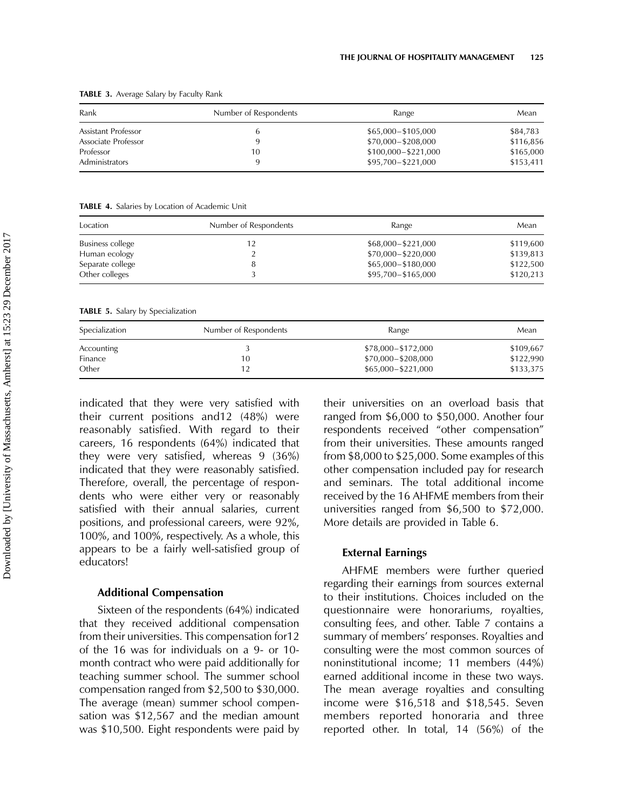| Rank                | Number of Respondents | Range               | Mean      |
|---------------------|-----------------------|---------------------|-----------|
| Assistant Professor |                       | \$65,000-\$105,000  | \$84,783  |
| Associate Professor |                       | \$70,000-\$208,000  | \$116,856 |
| Professor           | 10                    | \$100,000-\$221,000 | \$165,000 |
| Administrators      |                       | \$95,700-\$221,000  | \$153,411 |

TABLE 3. Average Salary by Faculty Rank

TABLE 4. Salaries by Location of Academic Unit

| Location         | Number of Respondents | Range              | Mean      |
|------------------|-----------------------|--------------------|-----------|
| Business college | 12                    | \$68,000-\$221,000 | \$119,600 |
| Human ecology    | ∸                     | \$70,000-\$220,000 | \$139,813 |
| Separate college |                       | \$65,000-\$180,000 | \$122,500 |
| Other colleges   |                       | \$95,700-\$165,000 | \$120,213 |

TABLE 5. Salary by Specialization

| Specialization | Number of Respondents | Range              | Mean      |
|----------------|-----------------------|--------------------|-----------|
| Accounting     |                       | \$78,000-\$172,000 | \$109,667 |
| Finance        | 10                    | \$70,000-\$208,000 | \$122,990 |
| Other          |                       | \$65,000-\$221,000 | \$133,375 |

indicated that they were very satisfied with their current positions and12 (48%) were reasonably satisfied. With regard to their careers, 16 respondents (64%) indicated that they were very satisfied, whereas 9 (36%) indicated that they were reasonably satisfied. Therefore, overall, the percentage of respondents who were either very or reasonably satisfied with their annual salaries, current positions, and professional careers, were 92%, 100%, and 100%, respectively. As a whole, this appears to be a fairly well-satisfied group of educators!

#### Additional Compensation

Sixteen of the respondents (64%) indicated that they received additional compensation from their universities. This compensation for12 of the 16 was for individuals on a 9- or 10 month contract who were paid additionally for teaching summer school. The summer school compensation ranged from \$2,500 to \$30,000. The average (mean) summer school compensation was \$12,567 and the median amount was \$10,500. Eight respondents were paid by their universities on an overload basis that ranged from \$6,000 to \$50,000. Another four respondents received "other compensation" from their universities. These amounts ranged from \$8,000 to \$25,000. Some examples of this other compensation included pay for research and seminars. The total additional income received by the 16 AHFME members from their universities ranged from \$6,500 to \$72,000. More details are provided in Table 6.

#### External Earnings

AHFME members were further queried regarding their earnings from sources external to their institutions. Choices included on the questionnaire were honorariums, royalties, consulting fees, and other. Table 7 contains a summary of members' responses. Royalties and consulting were the most common sources of noninstitutional income; 11 members (44%) earned additional income in these two ways. The mean average royalties and consulting income were \$16,518 and \$18,545. Seven members reported honoraria and three reported other. In total, 14 (56%) of the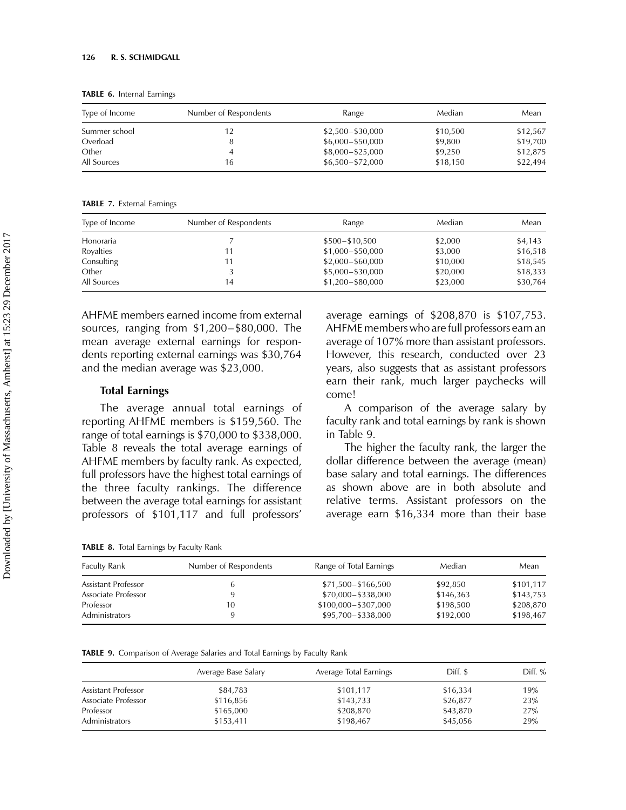TABLE 6. Internal Earnings

| Type of Income | Number of Respondents | Range              | Median   | Mean     |
|----------------|-----------------------|--------------------|----------|----------|
| Summer school  | 12                    | $$2,500 - $30,000$ | \$10,500 | \$12,567 |
| Overload       | 8                     | $$6,000 - $50,000$ | \$9,800  | \$19,700 |
| Other          | 4                     | \$8,000-\$25,000   | \$9,250  | \$12,875 |
| All Sources    | 16                    | $$6,500 - $72,000$ | \$18,150 | \$22,494 |

TABLE 7. External Earnings

| Type of Income | Number of Respondents | Range              | Median   | Mean     |
|----------------|-----------------------|--------------------|----------|----------|
| Honoraria      |                       | $$500 - $10,500$   | \$2,000  | \$4,143  |
| Royalties      | 11                    | \$1,000-\$50,000   | \$3,000  | \$16,518 |
| Consulting     | l 1                   | $$2,000 - $60,000$ | \$10,000 | \$18,545 |
| Other          |                       | \$5,000-\$30,000   | \$20,000 | \$18,333 |
| All Sources    | 14                    | \$1,200-\$80,000   | \$23,000 | \$30,764 |

AHFME members earned income from external sources, ranging from \$1,200–\$80,000. The mean average external earnings for respondents reporting external earnings was \$30,764 and the median average was \$23,000.

#### Total Earnings

The average annual total earnings of reporting AHFME members is \$159,560. The range of total earnings is \$70,000 to \$338,000. Table 8 reveals the total average earnings of AHFME members by faculty rank. As expected, full professors have the highest total earnings of the three faculty rankings. The difference between the average total earnings for assistant professors of \$101,117 and full professors'

average earnings of \$208,870 is \$107,753. AHFME members who are full professors earn an average of 107% more than assistant professors. However, this research, conducted over 23 years, also suggests that as assistant professors earn their rank, much larger paychecks will come!

A comparison of the average salary by faculty rank and total earnings by rank is shown in Table 9.

The higher the faculty rank, the larger the dollar difference between the average (mean) base salary and total earnings. The differences as shown above are in both absolute and relative terms. Assistant professors on the average earn \$16,334 more than their base

TABLE 8. Total Earnings by Faculty Rank

| <b>Faculty Rank</b>   | Number of Respondents | Range of Total Earnings | Median    | Mean      |
|-----------------------|-----------------------|-------------------------|-----------|-----------|
| Assistant Professor   |                       | \$71,500-\$166,500      | \$92.850  | \$101,117 |
| Associate Professor   |                       | \$70,000-\$338,000      | \$146,363 | \$143,753 |
| Professor             | 10                    | \$100,000 - \$307,000   | \$198,500 | \$208,870 |
| <b>Administrators</b> | ч                     | \$95,700-\$338,000      | \$192,000 | \$198,467 |

TABLE 9. Comparison of Average Salaries and Total Earnings by Faculty Rank

|                     | Average Base Salary | Average Total Earnings | Diff. \$ | Diff. % |
|---------------------|---------------------|------------------------|----------|---------|
| Assistant Professor | \$84,783            | \$101,117              | \$16,334 | 19%     |
| Associate Professor | \$116,856           | \$143,733              | \$26,877 | 23%     |
| Professor           | \$165,000           | \$208,870              | \$43,870 | 27%     |
| Administrators      | \$153,411           | \$198,467              | \$45,056 | 29%     |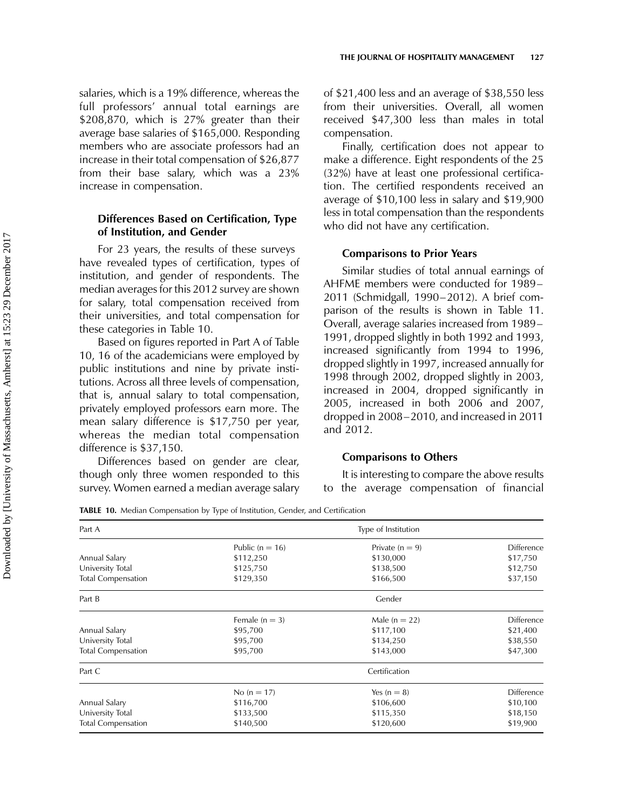salaries, which is a 19% difference, whereas the full professors' annual total earnings are \$208,870, which is 27% greater than their average base salaries of \$165,000. Responding members who are associate professors had an increase in their total compensation of \$26,877 from their base salary, which was a 23% increase in compensation.

## Differences Based on Certification, Type of Institution, and Gender

For 23 years, the results of these surveys have revealed types of certification, types of institution, and gender of respondents. The median averages for this 2012 survey are shown for salary, total compensation received from their universities, and total compensation for these categories in Table 10.

Based on figures reported in Part A of Table 10, 16 of the academicians were employed by public institutions and nine by private institutions. Across all three levels of compensation, that is, annual salary to total compensation, privately employed professors earn more. The mean salary difference is \$17,750 per year, whereas the median total compensation difference is \$37,150.

Differences based on gender are clear, though only three women responded to this survey. Women earned a median average salary

of \$21,400 less and an average of \$38,550 less from their universities. Overall, all women received \$47,300 less than males in total compensation.

Finally, certification does not appear to make a difference. Eight respondents of the 25 (32%) have at least one professional certification. The certified respondents received an average of \$10,100 less in salary and \$19,900 less in total compensation than the respondents who did not have any certification.

#### Comparisons to Prior Years

Similar studies of total annual earnings of AHFME members were conducted for 1989– 2011 (Schmidgall, 1990–2012). A brief comparison of the results is shown in Table 11. Overall, average salaries increased from 1989– 1991, dropped slightly in both 1992 and 1993, increased significantly from 1994 to 1996, dropped slightly in 1997, increased annually for 1998 through 2002, dropped slightly in 2003, increased in 2004, dropped significantly in 2005, increased in both 2006 and 2007, dropped in 2008–2010, and increased in 2011 and 2012.

#### Comparisons to Others

It is interesting to compare the above results to the average compensation of financial

TABLE 10. Median Compensation by Type of Institution, Gender, and Certification

| Part A                    |                     | Type of Institution |            |
|---------------------------|---------------------|---------------------|------------|
|                           | Public ( $n = 16$ ) | Private $(n = 9)$   | Difference |
| Annual Salary             | \$112,250           | \$130,000           | \$17,750   |
| University Total          | \$125,750           | \$138,500           | \$12,750   |
| <b>Total Compensation</b> | \$129,350           | \$166,500           | \$37,150   |
| Part B                    |                     | Gender              |            |
|                           | Female $(n = 3)$    | Male ( $n = 22$ )   | Difference |
| Annual Salary             | \$95,700            | \$117,100           | \$21,400   |
| University Total          | \$95,700            | \$134,250           | \$38,550   |
| <b>Total Compensation</b> | \$95,700            | \$143,000           | \$47,300   |
| Part C                    |                     | Certification       |            |
|                           | No $(n = 17)$       | Yes $(n = 8)$       | Difference |
| Annual Salary             | \$116,700           | \$106,600           | \$10,100   |
| University Total          | \$133,500           | \$115,350           | \$18,150   |
| <b>Total Compensation</b> | \$140,500           | \$120,600           | \$19,900   |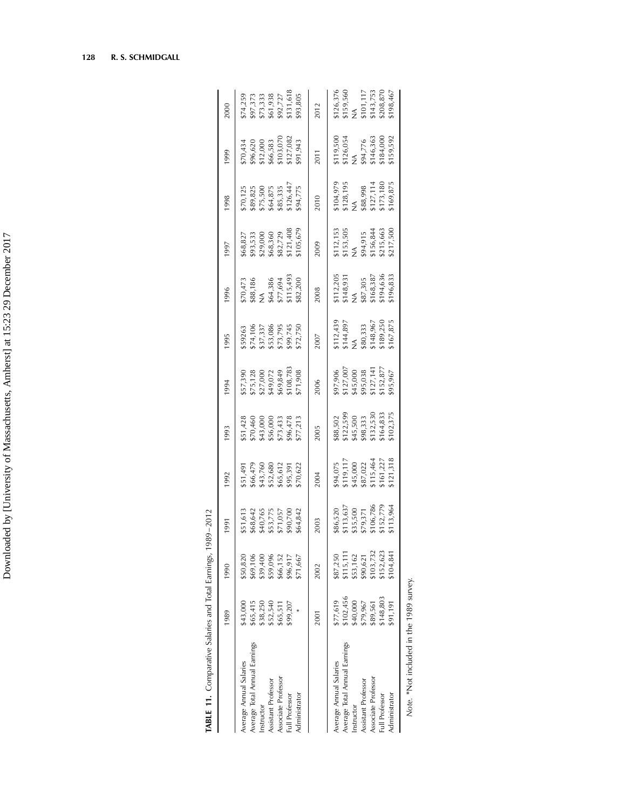| TABLE 11. Comparative Salaries and Total Earnings, 1 |             |           | 989–2012                                                         |                                                                                        |                                                                               |                                                                             |                                                                            |                                                                                                |                                                                                    |                                                                                           |                                                                           |                                                                            |
|------------------------------------------------------|-------------|-----------|------------------------------------------------------------------|----------------------------------------------------------------------------------------|-------------------------------------------------------------------------------|-----------------------------------------------------------------------------|----------------------------------------------------------------------------|------------------------------------------------------------------------------------------------|------------------------------------------------------------------------------------|-------------------------------------------------------------------------------------------|---------------------------------------------------------------------------|----------------------------------------------------------------------------|
|                                                      | 1989        | 1990      | 1991                                                             | 1992                                                                                   | 1993                                                                          | 1994                                                                        | 1995                                                                       | 1996                                                                                           | [66]                                                                               | 1998                                                                                      | 1999                                                                      | 2000                                                                       |
| Average Annual Salaries                              | \$43,000    | \$50,820  |                                                                  | \$51,491<br>\$66,479<br>\$43,760<br>\$52,680<br>\$55,391<br>\$95,391                   |                                                                               | \$57,390<br>\$75,128<br>\$27,000<br>\$49,072<br>\$108,783<br>\$108,783      | 559263<br>574,106<br>537,337<br>553,086<br>573,795<br>572,750              | \$70,473<br>\$88,186<br>NA<br>\$64,386<br>\$82,203<br>\$115,493                                |                                                                                    |                                                                                           |                                                                           |                                                                            |
| Average Total Annual Earnings                        | \$65,415    | \$69,106  |                                                                  |                                                                                        |                                                                               |                                                                             |                                                                            |                                                                                                |                                                                                    |                                                                                           |                                                                           |                                                                            |
| Instructor                                           | \$38,250    | \$39,400  |                                                                  |                                                                                        |                                                                               |                                                                             |                                                                            |                                                                                                |                                                                                    |                                                                                           |                                                                           |                                                                            |
| Assistant Professor                                  | \$52,540    | \$59,096  |                                                                  |                                                                                        |                                                                               |                                                                             |                                                                            |                                                                                                |                                                                                    |                                                                                           |                                                                           |                                                                            |
| Associate Professor                                  | \$65,511    | \$66,152  |                                                                  |                                                                                        |                                                                               |                                                                             |                                                                            |                                                                                                |                                                                                    |                                                                                           |                                                                           |                                                                            |
| Full Professor                                       | \$99,207    | \$96,917  |                                                                  |                                                                                        |                                                                               |                                                                             |                                                                            |                                                                                                |                                                                                    |                                                                                           |                                                                           |                                                                            |
| Administrator                                        |             | 571,667   | 51,613<br>668,642<br>640,765<br>653,775<br>571,057<br>69,842     |                                                                                        | 551,428<br>570,460<br>543,000<br>556,478<br>573,433<br>57,433                 |                                                                             |                                                                            |                                                                                                | \$68,827<br>\$93,533<br>\$29,000<br>\$68,360<br>\$67,729<br>\$121,408<br>\$121,408 | \$70,125<br>\$89,825<br>\$75,500<br>\$64,875<br>\$85,335<br>\$126,447<br>\$94,775         | 570,434<br>596,620<br>512,000<br>566,583<br>5103,070<br>511,943           | \$74,259<br>\$97,373<br>\$73,333<br>\$61,938<br>\$93,805<br>\$131,618      |
|                                                      | <b>2001</b> | 2002      | 2003                                                             | 2004                                                                                   | 2005                                                                          | 2006                                                                        | 2007                                                                       | 2008                                                                                           | 2009                                                                               | 2010                                                                                      | 2011                                                                      | 2012                                                                       |
| Average Annual Salaries                              | \$77,619    | \$87,250  |                                                                  |                                                                                        |                                                                               |                                                                             |                                                                            |                                                                                                |                                                                                    |                                                                                           |                                                                           |                                                                            |
| Average Total Annual Earnings                        | \$102,456   | 5115, 111 | 86,520<br>5113,637<br>535,500<br>579,371<br>5152,779<br>5113,964 | \$94,075<br>\$119,117<br>\$45,000<br>\$87,022<br>\$115,464<br>\$11,227<br>\$16,127,318 | 588,502<br>5122,599<br>545,500<br>598,333<br>5132,530<br>5164,833<br>5164,833 | 897,906<br>5127,007<br>545,000<br>595,038<br>5127,141<br>515,877<br>595,967 | 5112,439<br>5144,897<br>VA<br>5148,967<br>5148,967<br>5189,250<br>5167,875 | $$112,205$<br>$$148,931$<br>$$148,7305$<br>$$87,305$<br>$$168,387$<br>$$194,636$<br>$$194,635$ | 5112,153<br>5153,505<br>5156,844<br>5156,844<br>5215,663<br>5217,500               | $$104,979$<br>$$128,195$<br>$$14$<br>$$888,998$<br>$$127,114$<br>$$173,180$<br>$$173,180$ | 5119,500<br>5126,054<br>VA<br>594,776<br>5146,363<br>5184,000<br>5159,592 | \$126,376<br>\$159,560<br>\$101,117<br>\$143,753<br>\$143,870<br>\$208,467 |
| Instructor                                           | \$40,000    | \$53,162  |                                                                  |                                                                                        |                                                                               |                                                                             |                                                                            |                                                                                                |                                                                                    |                                                                                           |                                                                           |                                                                            |
| Assistant Professor                                  | \$79,967    | \$90,621  |                                                                  |                                                                                        |                                                                               |                                                                             |                                                                            |                                                                                                |                                                                                    |                                                                                           |                                                                           |                                                                            |
| Associate Professor                                  | \$89,561    | \$103,732 |                                                                  |                                                                                        |                                                                               |                                                                             |                                                                            |                                                                                                |                                                                                    |                                                                                           |                                                                           |                                                                            |
| Full Professor                                       | \$148,803   | \$152,623 |                                                                  |                                                                                        |                                                                               |                                                                             |                                                                            |                                                                                                |                                                                                    |                                                                                           |                                                                           |                                                                            |
| Administrator                                        | \$91,191    | .104, 841 |                                                                  |                                                                                        |                                                                               |                                                                             |                                                                            |                                                                                                |                                                                                    |                                                                                           |                                                                           |                                                                            |
|                                                      |             |           |                                                                  |                                                                                        |                                                                               |                                                                             |                                                                            |                                                                                                |                                                                                    |                                                                                           |                                                                           |                                                                            |

| l             |  |
|---------------|--|
| !<br>>        |  |
| ،<br>با<br>l  |  |
| ç<br>١<br>l   |  |
|               |  |
|               |  |
|               |  |
|               |  |
| I             |  |
| I             |  |
| J<br>I        |  |
|               |  |
| í             |  |
| ï             |  |
|               |  |
|               |  |
| המות המות     |  |
|               |  |
|               |  |
|               |  |
|               |  |
|               |  |
|               |  |
|               |  |
|               |  |
| I             |  |
|               |  |
|               |  |
|               |  |
|               |  |
| $\frac{1}{f}$ |  |
|               |  |
|               |  |

128 R. S. SCHMIDGALL

Note. \* Not included in the 1989 survey. Note. \*Not included in the 1989 survey.